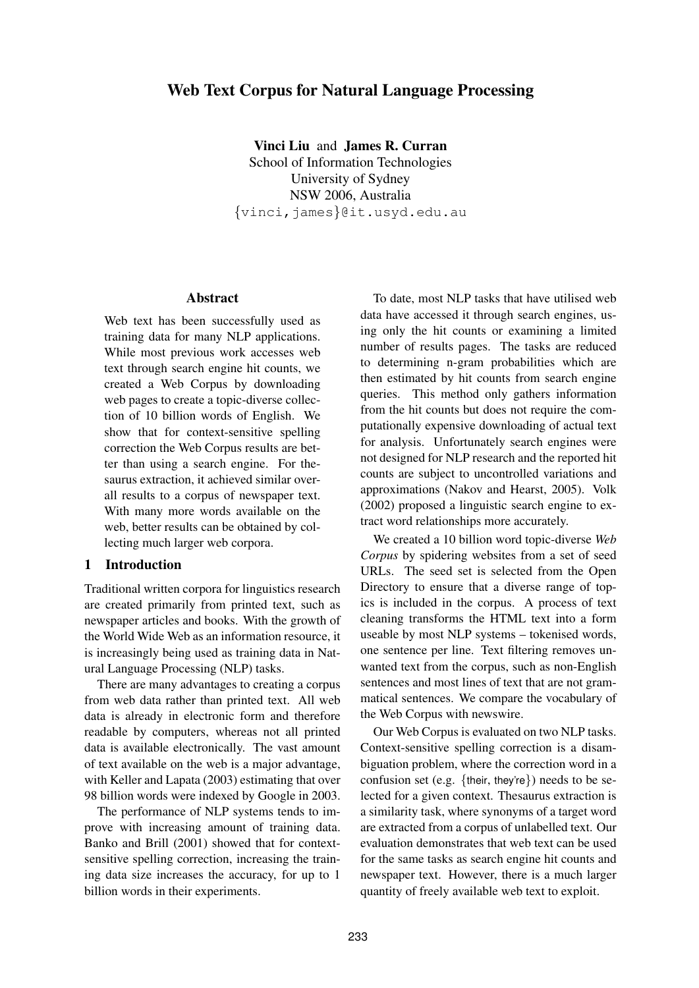# **Web Text Corpus for Natural Language Processing**

**Vinci Liu** and **James R. Curran** School of Information Technologies University of Sydney NSW 2006, Australia {vinci,james}@it.usyd.edu.au

#### **Abstract**

Web text has been successfully used as training data for many NLP applications. While most previous work accesses web text through search engine hit counts, we created a Web Corpus by downloading web pages to create a topic-diverse collection of 10 billion words of English. We show that for context-sensitive spelling correction the Web Corpus results are better than using a search engine. For thesaurus extraction, it achieved similar overall results to a corpus of newspaper text. With many more words available on the web, better results can be obtained by collecting much larger web corpora.

#### **1 Introduction**

Traditional written corpora for linguistics research are created primarily from printed text, such as newspaper articles and books. With the growth of the World Wide Web as an information resource, it is increasingly being used as training data in Natural Language Processing (NLP) tasks.

There are many advantages to creating a corpus from web data rather than printed text. All web data is already in electronic form and therefore readable by computers, whereas not all printed data is available electronically. The vast amount of text available on the web is a major advantage, with Keller and Lapata (2003) estimating that over 98 billion words were indexed by Google in 2003.

The performance of NLP systems tends to improve with increasing amount of training data. Banko and Brill (2001) showed that for contextsensitive spelling correction, increasing the training data size increases the accuracy, for up to 1 billion words in their experiments.

To date, most NLP tasks that have utilised web data have accessed it through search engines, using only the hit counts or examining a limited number of results pages. The tasks are reduced to determining n-gram probabilities which are then estimated by hit counts from search engine queries. This method only gathers information from the hit counts but does not require the computationally expensive downloading of actual text for analysis. Unfortunately search engines were not designed for NLP research and the reported hit counts are subject to uncontrolled variations and approximations (Nakov and Hearst, 2005). Volk (2002) proposed a linguistic search engine to extract word relationships more accurately.

We created a 10 billion word topic-diverse *Web Corpus* by spidering websites from a set of seed URLs. The seed set is selected from the Open Directory to ensure that a diverse range of topics is included in the corpus. A process of text cleaning transforms the HTML text into a form useable by most NLP systems – tokenised words, one sentence per line. Text filtering removes unwanted text from the corpus, such as non-English sentences and most lines of text that are not grammatical sentences. We compare the vocabulary of the Web Corpus with newswire.

Our Web Corpus is evaluated on two NLP tasks. Context-sensitive spelling correction is a disambiguation problem, where the correction word in a confusion set (e.g. {their, they're}) needs to be selected for a given context. Thesaurus extraction is a similarity task, where synonyms of a target word are extracted from a corpus of unlabelled text. Our evaluation demonstrates that web text can be used for the same tasks as search engine hit counts and newspaper text. However, there is a much larger quantity of freely available web text to exploit.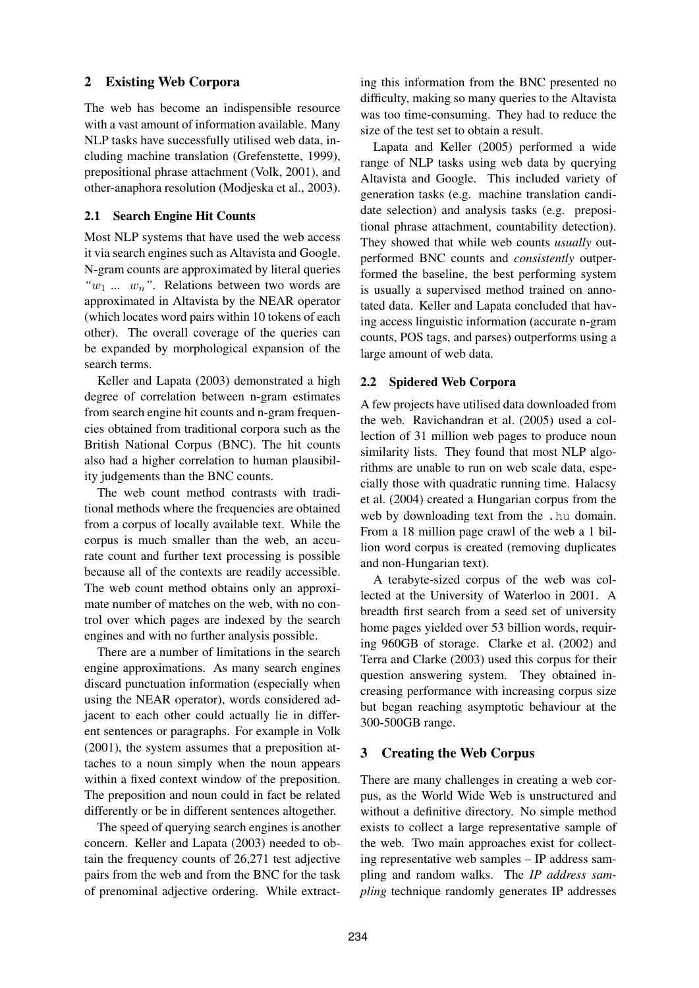# **2 Existing Web Corpora**

The web has become an indispensible resource with a vast amount of information available. Many NLP tasks have successfully utilised web data, including machine translation (Grefenstette, 1999), prepositional phrase attachment (Volk, 2001), and other-anaphora resolution (Modjeska et al., 2003).

### **2.1 Search Engine Hit Counts**

Most NLP systems that have used the web access it via search engines such as Altavista and Google. N-gram counts are approximated by literal queries  $w_1$  ...  $w_n$ ". Relations between two words are approximated in Altavista by the NEAR operator (which locates word pairs within 10 tokens of each other). The overall coverage of the queries can be expanded by morphological expansion of the search terms.

Keller and Lapata (2003) demonstrated a high degree of correlation between n-gram estimates from search engine hit counts and n-gram frequencies obtained from traditional corpora such as the British National Corpus (BNC). The hit counts also had a higher correlation to human plausibility judgements than the BNC counts.

The web count method contrasts with traditional methods where the frequencies are obtained from a corpus of locally available text. While the corpus is much smaller than the web, an accurate count and further text processing is possible because all of the contexts are readily accessible. The web count method obtains only an approximate number of matches on the web, with no control over which pages are indexed by the search engines and with no further analysis possible.

There are a number of limitations in the search engine approximations. As many search engines discard punctuation information (especially when using the NEAR operator), words considered adjacent to each other could actually lie in different sentences or paragraphs. For example in Volk (2001), the system assumes that a preposition attaches to a noun simply when the noun appears within a fixed context window of the preposition. The preposition and noun could in fact be related differently or be in different sentences altogether.

The speed of querying search engines is another concern. Keller and Lapata (2003) needed to obtain the frequency counts of 26,271 test adjective pairs from the web and from the BNC for the task of prenominal adjective ordering. While extract-

ing this information from the BNC presented no difficulty, making so many queries to the Altavista was too time-consuming. They had to reduce the size of the test set to obtain a result.

Lapata and Keller (2005) performed a wide range of NLP tasks using web data by querying Altavista and Google. This included variety of generation tasks (e.g. machine translation candidate selection) and analysis tasks (e.g. prepositional phrase attachment, countability detection). They showed that while web counts *usually* outperformed BNC counts and *consistently* outperformed the baseline, the best performing system is usually a supervised method trained on annotated data. Keller and Lapata concluded that having access linguistic information (accurate n-gram counts, POS tags, and parses) outperforms using a large amount of web data.

#### **2.2 Spidered Web Corpora**

A few projects have utilised data downloaded from the web. Ravichandran et al. (2005) used a collection of 31 million web pages to produce noun similarity lists. They found that most NLP algorithms are unable to run on web scale data, especially those with quadratic running time. Halacsy et al. (2004) created a Hungarian corpus from the web by downloading text from the .hu domain. From a 18 million page crawl of the web a 1 billion word corpus is created (removing duplicates and non-Hungarian text).

A terabyte-sized corpus of the web was collected at the University of Waterloo in 2001. A breadth first search from a seed set of university home pages yielded over 53 billion words, requiring 960GB of storage. Clarke et al. (2002) and Terra and Clarke (2003) used this corpus for their question answering system. They obtained increasing performance with increasing corpus size but began reaching asymptotic behaviour at the 300-500GB range.

# **3 Creating the Web Corpus**

There are many challenges in creating a web corpus, as the World Wide Web is unstructured and without a definitive directory. No simple method exists to collect a large representative sample of the web. Two main approaches exist for collecting representative web samples – IP address sampling and random walks. The *IP address sampling* technique randomly generates IP addresses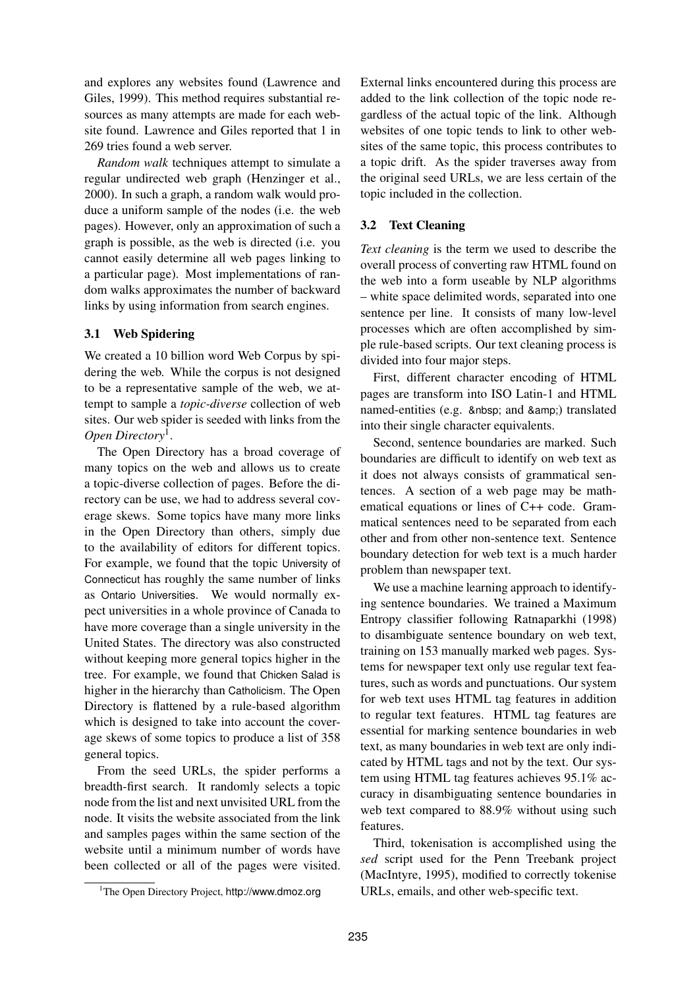and explores any websites found (Lawrence and Giles, 1999). This method requires substantial resources as many attempts are made for each website found. Lawrence and Giles reported that 1 in 269 tries found a web server.

*Random walk* techniques attempt to simulate a regular undirected web graph (Henzinger et al., 2000). In such a graph, a random walk would produce a uniform sample of the nodes (i.e. the web pages). However, only an approximation of such a graph is possible, as the web is directed (i.e. you cannot easily determine all web pages linking to a particular page). Most implementations of random walks approximates the number of backward links by using information from search engines.

### **3.1 Web Spidering**

We created a 10 billion word Web Corpus by spidering the web. While the corpus is not designed to be a representative sample of the web, we attempt to sample a *topic-diverse* collection of web sites. Our web spider is seeded with links from the *Open Directory*<sup>1</sup> .

The Open Directory has a broad coverage of many topics on the web and allows us to create a topic-diverse collection of pages. Before the directory can be use, we had to address several coverage skews. Some topics have many more links in the Open Directory than others, simply due to the availability of editors for different topics. For example, we found that the topic University of Connecticut has roughly the same number of links as Ontario Universities. We would normally expect universities in a whole province of Canada to have more coverage than a single university in the United States. The directory was also constructed without keeping more general topics higher in the tree. For example, we found that Chicken Salad is higher in the hierarchy than Catholicism. The Open Directory is flattened by a rule-based algorithm which is designed to take into account the coverage skews of some topics to produce a list of 358 general topics.

From the seed URLs, the spider performs a breadth-first search. It randomly selects a topic node from the list and next unvisited URL from the node. It visits the website associated from the link and samples pages within the same section of the website until a minimum number of words have been collected or all of the pages were visited.

External links encountered during this process are added to the link collection of the topic node regardless of the actual topic of the link. Although websites of one topic tends to link to other websites of the same topic, this process contributes to a topic drift. As the spider traverses away from the original seed URLs, we are less certain of the topic included in the collection.

### **3.2 Text Cleaning**

*Text cleaning* is the term we used to describe the overall process of converting raw HTML found on the web into a form useable by NLP algorithms – white space delimited words, separated into one sentence per line. It consists of many low-level processes which are often accomplished by simple rule-based scripts. Our text cleaning process is divided into four major steps.

First, different character encoding of HTML pages are transform into ISO Latin-1 and HTML named-entities (e.g. and &) translated into their single character equivalents.

Second, sentence boundaries are marked. Such boundaries are difficult to identify on web text as it does not always consists of grammatical sentences. A section of a web page may be mathematical equations or lines of C++ code. Grammatical sentences need to be separated from each other and from other non-sentence text. Sentence boundary detection for web text is a much harder problem than newspaper text.

We use a machine learning approach to identifying sentence boundaries. We trained a Maximum Entropy classifier following Ratnaparkhi (1998) to disambiguate sentence boundary on web text, training on 153 manually marked web pages. Systems for newspaper text only use regular text features, such as words and punctuations. Our system for web text uses HTML tag features in addition to regular text features. HTML tag features are essential for marking sentence boundaries in web text, as many boundaries in web text are only indicated by HTML tags and not by the text. Our system using HTML tag features achieves 95.1% accuracy in disambiguating sentence boundaries in web text compared to 88.9% without using such features.

Third, tokenisation is accomplished using the *sed* script used for the Penn Treebank project (MacIntyre, 1995), modified to correctly tokenise URLs, emails, and other web-specific text.

<sup>1</sup>The Open Directory Project, http://www.dmoz.org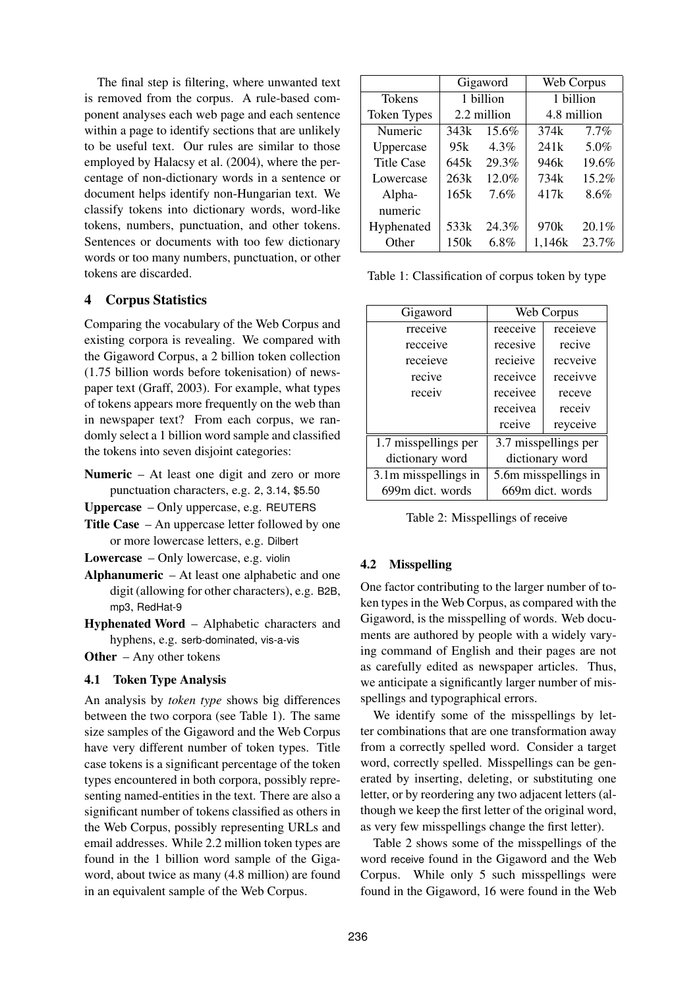The final step is filtering, where unwanted text is removed from the corpus. A rule-based component analyses each web page and each sentence within a page to identify sections that are unlikely to be useful text. Our rules are similar to those employed by Halacsy et al. (2004), where the percentage of non-dictionary words in a sentence or document helps identify non-Hungarian text. We classify tokens into dictionary words, word-like tokens, numbers, punctuation, and other tokens. Sentences or documents with too few dictionary words or too many numbers, punctuation, or other tokens are discarded.

# **4 Corpus Statistics**

Comparing the vocabulary of the Web Corpus and existing corpora is revealing. We compared with the Gigaword Corpus, a 2 billion token collection (1.75 billion words before tokenisation) of newspaper text (Graff, 2003). For example, what types of tokens appears more frequently on the web than in newspaper text? From each corpus, we randomly select a 1 billion word sample and classified the tokens into seven disjoint categories:

- **Numeric** At least one digit and zero or more punctuation characters, e.g. 2, 3.14, \$5.50
- **Uppercase** Only uppercase, e.g. REUTERS
- **Title Case** An uppercase letter followed by one or more lowercase letters, e.g. Dilbert
- **Lowercase** Only lowercase, e.g. violin
- **Alphanumeric** At least one alphabetic and one digit (allowing for other characters), e.g. B2B, mp3, RedHat-9
- **Hyphenated Word** Alphabetic characters and hyphens, e.g. serb-dominated, vis-a-vis

**Other** – Any other tokens

# **4.1 Token Type Analysis**

An analysis by *token type* shows big differences between the two corpora (see Table 1). The same size samples of the Gigaword and the Web Corpus have very different number of token types. Title case tokens is a significant percentage of the token types encountered in both corpora, possibly representing named-entities in the text. There are also a significant number of tokens classified as others in the Web Corpus, possibly representing URLs and email addresses. While 2.2 million token types are found in the 1 billion word sample of the Gigaword, about twice as many (4.8 million) are found in an equivalent sample of the Web Corpus.

|                    | Gigaword    |         | Web Corpus  |         |
|--------------------|-------------|---------|-------------|---------|
| Tokens             | 1 billion   |         | 1 billion   |         |
| <b>Token Types</b> | 2.2 million |         | 4.8 million |         |
| Numeric            | 343k        | 15.6%   | 374k        | $7.7\%$ |
| Uppercase          | 95k         | 4.3%    | 241k        | 5.0%    |
| <b>Title Case</b>  | 645k        | 29.3%   | 946k        | 19.6%   |
| Lowercase          | 263k        | 12.0%   | 734k        | 15.2%   |
| Alpha-             | 165k        | 7.6%    | 417k        | 8.6%    |
| numeric            |             |         |             |         |
| Hyphenated         | 533k        | 24.3%   | 970k        | 20.1%   |
| Other              | 150k        | $6.8\%$ | 1,146k      | 23.7%   |

Table 1: Classification of corpus token by type

| Gigaword                           | Web Corpus           |          |  |
|------------------------------------|----------------------|----------|--|
| rreceive                           | reeceive             | receieve |  |
| recceive                           | recesive             | recive   |  |
| receieve                           | recieive             | recveive |  |
| recive                             | receivce             | receivve |  |
| receiv                             | receivee             | receve   |  |
|                                    | receivea             | receiv   |  |
|                                    | rceive               | reyceive |  |
| 1.7 misspellings per               | 3.7 misspellings per |          |  |
| dictionary word                    | dictionary word      |          |  |
| $\overline{3.1}$ m misspellings in | 5.6m misspellings in |          |  |
| 699m dict. words                   | 669m dict. words     |          |  |

Table 2: Misspellings of receive

# **4.2 Misspelling**

One factor contributing to the larger number of token types in the Web Corpus, as compared with the Gigaword, is the misspelling of words. Web documents are authored by people with a widely varying command of English and their pages are not as carefully edited as newspaper articles. Thus, we anticipate a significantly larger number of misspellings and typographical errors.

We identify some of the misspellings by letter combinations that are one transformation away from a correctly spelled word. Consider a target word, correctly spelled. Misspellings can be generated by inserting, deleting, or substituting one letter, or by reordering any two adjacent letters (although we keep the first letter of the original word, as very few misspellings change the first letter).

Table 2 shows some of the misspellings of the word receive found in the Gigaword and the Web Corpus. While only 5 such misspellings were found in the Gigaword, 16 were found in the Web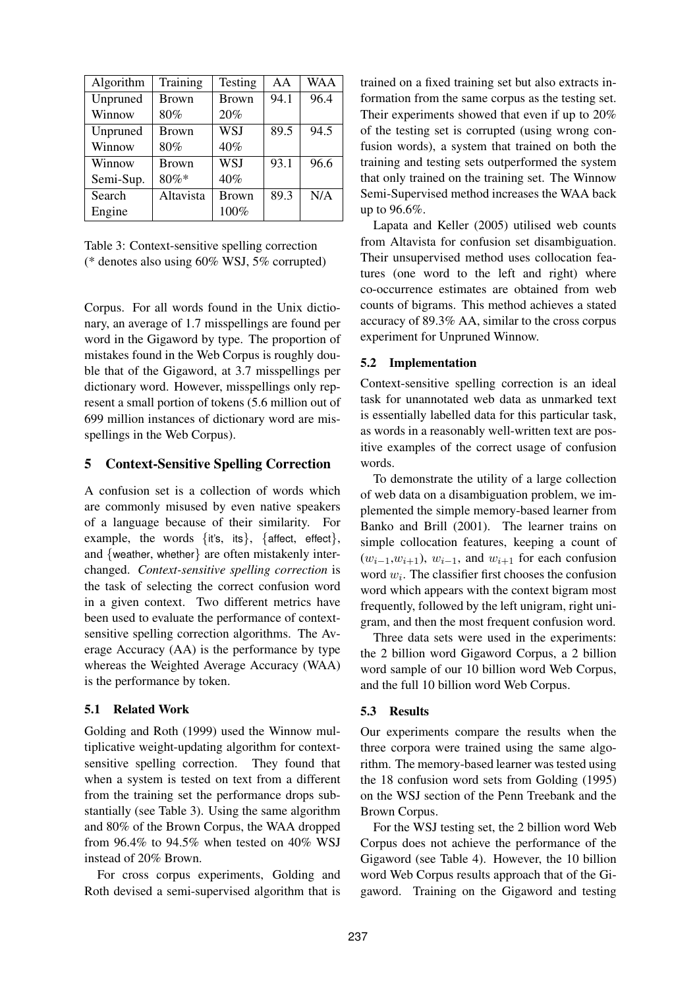| Algorithm | Training     | Testing      | AA   | <b>WAA</b> |
|-----------|--------------|--------------|------|------------|
| Unpruned  | <b>Brown</b> | <b>Brown</b> | 94.1 | 96.4       |
| Winnow    | 80%          | 20%          |      |            |
| Unpruned  | <b>Brown</b> | <b>WSJ</b>   | 89.5 | 94.5       |
| Winnow    | 80%          | 40%          |      |            |
| Winnow    | <b>Brown</b> | <b>WSJ</b>   | 93.1 | 96.6       |
| Semi-Sup. | $80\%$ *     | 40%          |      |            |
| Search    | Altavista    | <b>Brown</b> | 89.3 | N/A        |
| Engine    |              | 100%         |      |            |

Table 3: Context-sensitive spelling correction (\* denotes also using 60% WSJ, 5% corrupted)

Corpus. For all words found in the Unix dictionary, an average of 1.7 misspellings are found per word in the Gigaword by type. The proportion of mistakes found in the Web Corpus is roughly double that of the Gigaword, at 3.7 misspellings per dictionary word. However, misspellings only represent a small portion of tokens (5.6 million out of 699 million instances of dictionary word are misspellings in the Web Corpus).

### **5 Context-Sensitive Spelling Correction**

A confusion set is a collection of words which are commonly misused by even native speakers of a language because of their similarity. For example, the words  $\{it's, its\}$ ,  $\{affect, effect\}$ , and {weather, whether} are often mistakenly interchanged. *Context-sensitive spelling correction* is the task of selecting the correct confusion word in a given context. Two different metrics have been used to evaluate the performance of contextsensitive spelling correction algorithms. The Average Accuracy (AA) is the performance by type whereas the Weighted Average Accuracy (WAA) is the performance by token.

#### **5.1 Related Work**

Golding and Roth (1999) used the Winnow multiplicative weight-updating algorithm for contextsensitive spelling correction. They found that when a system is tested on text from a different from the training set the performance drops substantially (see Table 3). Using the same algorithm and 80% of the Brown Corpus, the WAA dropped from  $96.4\%$  to  $94.5\%$  when tested on  $40\%$  WSJ instead of 20% Brown.

For cross corpus experiments, Golding and Roth devised a semi-supervised algorithm that is trained on a fixed training set but also extracts information from the same corpus as the testing set. Their experiments showed that even if up to 20% of the testing set is corrupted (using wrong confusion words), a system that trained on both the training and testing sets outperformed the system that only trained on the training set. The Winnow Semi-Supervised method increases the WAA back up to 96.6%.

Lapata and Keller (2005) utilised web counts from Altavista for confusion set disambiguation. Their unsupervised method uses collocation features (one word to the left and right) where co-occurrence estimates are obtained from web counts of bigrams. This method achieves a stated accuracy of 89.3% AA, similar to the cross corpus experiment for Unpruned Winnow.

#### **5.2 Implementation**

Context-sensitive spelling correction is an ideal task for unannotated web data as unmarked text is essentially labelled data for this particular task, as words in a reasonably well-written text are positive examples of the correct usage of confusion words.

To demonstrate the utility of a large collection of web data on a disambiguation problem, we implemented the simple memory-based learner from Banko and Brill (2001). The learner trains on simple collocation features, keeping a count of  $(w_{i-1}, w_{i+1}), w_{i-1}$ , and  $w_{i+1}$  for each confusion word  $w_i$ . The classifier first chooses the confusion word which appears with the context bigram most frequently, followed by the left unigram, right unigram, and then the most frequent confusion word.

Three data sets were used in the experiments: the 2 billion word Gigaword Corpus, a 2 billion word sample of our 10 billion word Web Corpus, and the full 10 billion word Web Corpus.

### **5.3 Results**

Our experiments compare the results when the three corpora were trained using the same algorithm. The memory-based learner was tested using the 18 confusion word sets from Golding (1995) on the WSJ section of the Penn Treebank and the Brown Corpus.

For the WSJ testing set, the 2 billion word Web Corpus does not achieve the performance of the Gigaword (see Table 4). However, the 10 billion word Web Corpus results approach that of the Gigaword. Training on the Gigaword and testing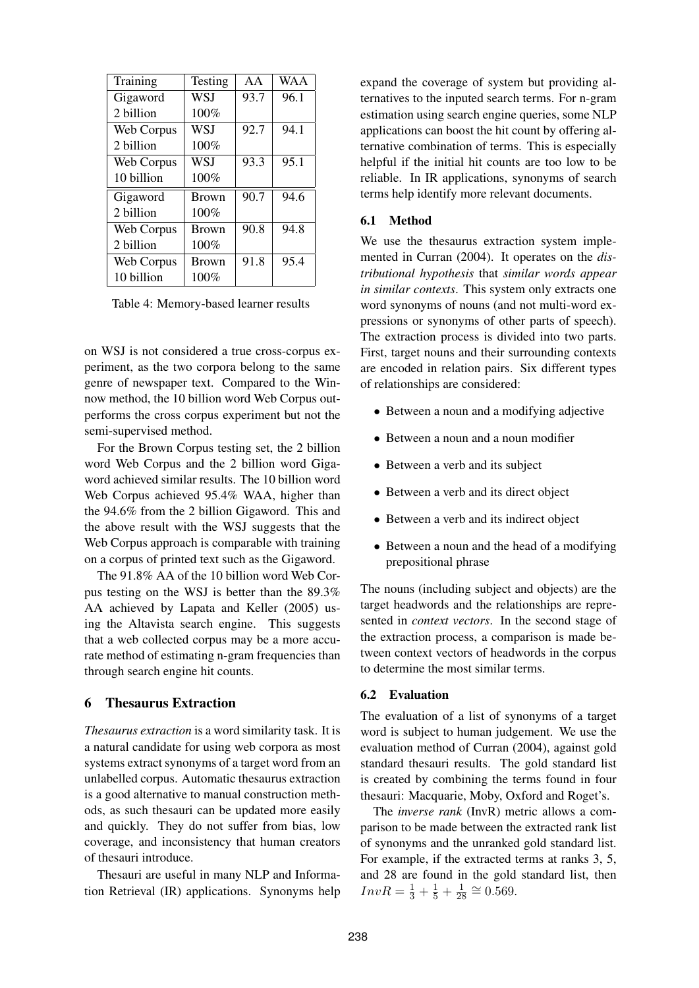| Training   | Testing      | AA   | <b>WAA</b> |
|------------|--------------|------|------------|
| Gigaword   | WSJ          | 93.7 | 96.1       |
| 2 billion  | 100%         |      |            |
| Web Corpus | WSI          | 92.7 | 94.1       |
| 2 billion  | 100%         |      |            |
| Web Corpus | WSJ          | 93.3 | 95.1       |
| 10 billion | 100%         |      |            |
| Gigaword   | <b>Brown</b> | 90.7 | 94.6       |
| 2 billion  | 100%         |      |            |
| Web Corpus | <b>Brown</b> | 90.8 | 94.8       |
| 2 billion  | 100%         |      |            |
| Web Corpus | <b>Brown</b> | 91.8 | 95.4       |
| 10 billion | 100%         |      |            |

Table 4: Memory-based learner results

on WSJ is not considered a true cross-corpus experiment, as the two corpora belong to the same genre of newspaper text. Compared to the Winnow method, the 10 billion word Web Corpus outperforms the cross corpus experiment but not the semi-supervised method.

For the Brown Corpus testing set, the 2 billion word Web Corpus and the 2 billion word Gigaword achieved similar results. The 10 billion word Web Corpus achieved 95.4% WAA, higher than the 94.6% from the 2 billion Gigaword. This and the above result with the WSJ suggests that the Web Corpus approach is comparable with training on a corpus of printed text such as the Gigaword.

The 91.8% AA of the 10 billion word Web Corpus testing on the WSJ is better than the 89.3% AA achieved by Lapata and Keller (2005) using the Altavista search engine. This suggests that a web collected corpus may be a more accurate method of estimating n-gram frequencies than through search engine hit counts.

### **6 Thesaurus Extraction**

*Thesaurus extraction* is a word similarity task. It is a natural candidate for using web corpora as most systems extract synonyms of a target word from an unlabelled corpus. Automatic thesaurus extraction is a good alternative to manual construction methods, as such thesauri can be updated more easily and quickly. They do not suffer from bias, low coverage, and inconsistency that human creators of thesauri introduce.

Thesauri are useful in many NLP and Information Retrieval (IR) applications. Synonyms help

expand the coverage of system but providing alternatives to the inputed search terms. For n-gram estimation using search engine queries, some NLP applications can boost the hit count by offering alternative combination of terms. This is especially helpful if the initial hit counts are too low to be reliable. In IR applications, synonyms of search terms help identify more relevant documents.

#### **6.1 Method**

We use the thesaurus extraction system implemented in Curran (2004). It operates on the *distributional hypothesis* that *similar words appear in similar contexts*. This system only extracts one word synonyms of nouns (and not multi-word expressions or synonyms of other parts of speech). The extraction process is divided into two parts. First, target nouns and their surrounding contexts are encoded in relation pairs. Six different types of relationships are considered:

- Between a noun and a modifying adjective
- Between a noun and a noun modifier
- Between a verb and its subject
- Between a verb and its direct object
- Between a verb and its indirect object
- Between a noun and the head of a modifying prepositional phrase

The nouns (including subject and objects) are the target headwords and the relationships are represented in *context vectors*. In the second stage of the extraction process, a comparison is made between context vectors of headwords in the corpus to determine the most similar terms.

#### **6.2 Evaluation**

The evaluation of a list of synonyms of a target word is subject to human judgement. We use the evaluation method of Curran (2004), against gold standard thesauri results. The gold standard list is created by combining the terms found in four thesauri: Macquarie, Moby, Oxford and Roget's.

The *inverse rank* (InvR) metric allows a comparison to be made between the extracted rank list of synonyms and the unranked gold standard list. For example, if the extracted terms at ranks 3, 5, and 28 are found in the gold standard list, then  $InvR = \frac{1}{3} + \frac{1}{5} + \frac{1}{28}$  $\frac{1}{28} \cong 0.569.$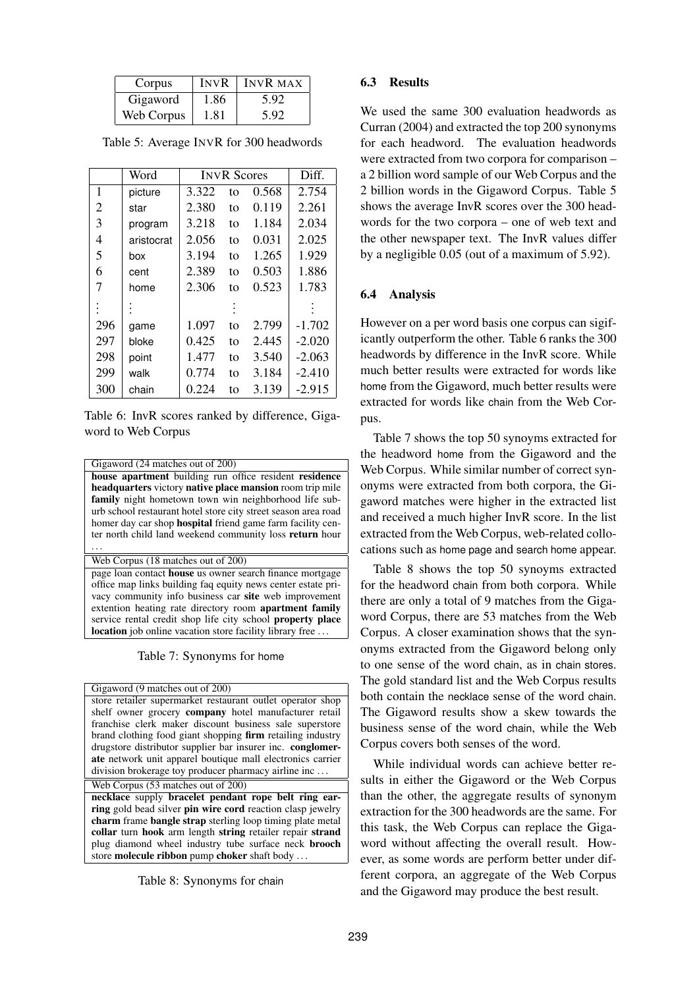| Corpus     | <b>INVR</b> | <b>INVR MAX</b> |
|------------|-------------|-----------------|
| Gigaword   | 1.86        | 5.92            |
| Web Corpus | 1.81        | 5.92            |

Table 5: Average INVR for 300 headwords

|     | Word       | <b>INVR Scores</b> |    |       | Diff.    |
|-----|------------|--------------------|----|-------|----------|
| 1   | picture    | 3.322              | to | 0.568 | 2.754    |
| 2   | star       | 2.380              | to | 0.119 | 2.261    |
| 3   | program    | 3.218              | to | 1.184 | 2.034    |
| 4   | aristocrat | 2.056              | to | 0.031 | 2.025    |
| 5   | box        | 3.194              | to | 1.265 | 1.929    |
| 6   | cent       | 2.389              | to | 0.503 | 1.886    |
| 7   | home       | 2.306              | to | 0.523 | 1.783    |
|     |            |                    |    |       |          |
| 296 | game       | 1.097              | to | 2.799 | $-1.702$ |
| 297 | bloke      | 0.425              | to | 2.445 | $-2.020$ |
| 298 | point      | 1.477              | to | 3.540 | $-2.063$ |
| 299 | walk       | 0.774              | to | 3.184 | $-2.410$ |
| 300 | chain      | 0.224              | to | 3.139 | $-2.915$ |

Table 6: InvR scores ranked by difference, Gigaword to Web Corpus

| Gigaword (24 matches out of 200)                                  |
|-------------------------------------------------------------------|
| house apartment building run office resident residence            |
| headquarters victory native place mansion room trip mile          |
| family night hometown town win neighborhood life sub-             |
| urb school restaurant hotel store city street season area road    |
| homer day car shop <b>hospital</b> friend game farm facility cen- |
| ter north child land weekend community loss return hour           |
|                                                                   |
| Web Corpus (18 matches out of 200)                                |

page loan contact **house** us owner search finance mortgage office map links building faq equity news center estate privacy community info business car **site** web improvement extention heating rate directory room **apartment family** service rental credit shop life city school **property place location** job online vacation store facility library free . . .

Table 7: Synonyms for home

Gigaword (9 matches out of 200) store retailer supermarket restaurant outlet operator shop shelf owner grocery **company** hotel manufacturer retail franchise clerk maker discount business sale superstore brand clothing food giant shopping **firm** retailing industry drugstore distributor supplier bar insurer inc. **conglomerate** network unit apparel boutique mall electronics carrier division brokerage toy producer pharmacy airline inc . . .

Web Corpus (53 matches out of 200) **necklace** supply **bracelet pendant rope belt ring earring** gold bead silver **pin wire cord** reaction clasp jewelry **charm** frame **bangle strap** sterling loop timing plate metal **collar** turn **hook** arm length **string** retailer repair **strand** plug diamond wheel industry tube surface neck **brooch** store **molecule ribbon** pump **choker** shaft body . . .

Table 8: Synonyms for chain

# **6.3 Results**

We used the same 300 evaluation headwords as Curran (2004) and extracted the top 200 synonyms for each headword. The evaluation headwords were extracted from two corpora for comparison – a 2 billion word sample of our Web Corpus and the 2 billion words in the Gigaword Corpus. Table 5 shows the average InvR scores over the 300 headwords for the two corpora – one of web text and the other newspaper text. The InvR values differ by a negligible 0.05 (out of a maximum of 5.92).

# **6.4 Analysis**

However on a per word basis one corpus can sigificantly outperform the other. Table 6 ranks the 300 headwords by difference in the InvR score. While much better results were extracted for words like home from the Gigaword, much better results were extracted for words like chain from the Web Corpus.

Table 7 shows the top 50 synoyms extracted for the headword home from the Gigaword and the Web Corpus. While similar number of correct synonyms were extracted from both corpora, the Gigaword matches were higher in the extracted list and received a much higher InvR score. In the list extracted from the Web Corpus, web-related collocations such as home page and search home appear.

Table 8 shows the top 50 synoyms extracted for the headword chain from both corpora. While there are only a total of 9 matches from the Gigaword Corpus, there are 53 matches from the Web Corpus. A closer examination shows that the synonyms extracted from the Gigaword belong only to one sense of the word chain, as in chain stores. The gold standard list and the Web Corpus results both contain the necklace sense of the word chain. The Gigaword results show a skew towards the business sense of the word chain, while the Web Corpus covers both senses of the word.

While individual words can achieve better results in either the Gigaword or the Web Corpus than the other, the aggregate results of synonym extraction for the 300 headwords are the same. For this task, the Web Corpus can replace the Gigaword without affecting the overall result. However, as some words are perform better under different corpora, an aggregate of the Web Corpus and the Gigaword may produce the best result.